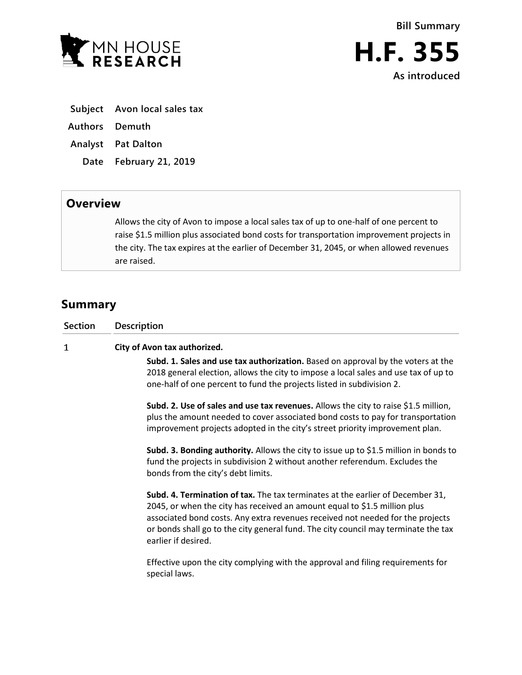

- **Subject Avon local sales tax**
- **Authors Demuth**
- **Analyst Pat Dalton**
	- **Date February 21, 2019**

## **Overview**

Allows the city of Avon to impose a local sales tax of up to one-half of one percent to raise \$1.5 million plus associated bond costs for transportation improvement projects in the city. The tax expires at the earlier of December 31, 2045, or when allowed revenues are raised.

## **Summary**

| <b>Section</b> | <b>Description</b>                                                                                                                                                                                                                                                                                                                                         |
|----------------|------------------------------------------------------------------------------------------------------------------------------------------------------------------------------------------------------------------------------------------------------------------------------------------------------------------------------------------------------------|
| 1              | City of Avon tax authorized.                                                                                                                                                                                                                                                                                                                               |
|                | Subd. 1. Sales and use tax authorization. Based on approval by the voters at the<br>2018 general election, allows the city to impose a local sales and use tax of up to<br>one-half of one percent to fund the projects listed in subdivision 2.                                                                                                           |
|                | Subd. 2. Use of sales and use tax revenues. Allows the city to raise \$1.5 million,<br>plus the amount needed to cover associated bond costs to pay for transportation<br>improvement projects adopted in the city's street priority improvement plan.                                                                                                     |
|                | Subd. 3. Bonding authority. Allows the city to issue up to \$1.5 million in bonds to<br>fund the projects in subdivision 2 without another referendum. Excludes the<br>bonds from the city's debt limits.                                                                                                                                                  |
|                | Subd. 4. Termination of tax. The tax terminates at the earlier of December 31,<br>2045, or when the city has received an amount equal to \$1.5 million plus<br>associated bond costs. Any extra revenues received not needed for the projects<br>or bonds shall go to the city general fund. The city council may terminate the tax<br>earlier if desired. |
|                | Effective upon the city complying with the approval and filing requirements for<br>special laws.                                                                                                                                                                                                                                                           |